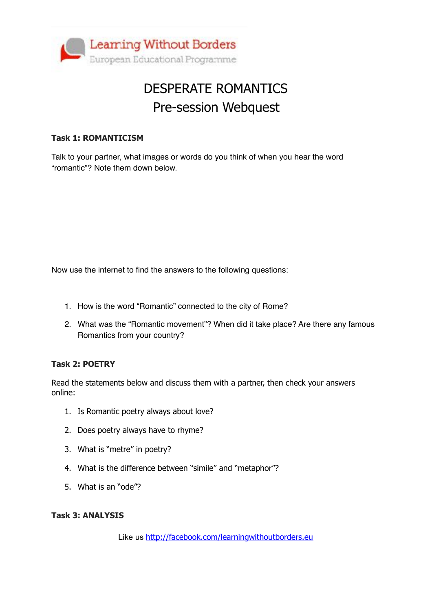

# DESPERATE ROMANTICS Pre-session Webquest

### **Task 1: ROMANTICISM**

Talk to your partner, what images or words do you think of when you hear the word "romantic"? Note them down below.

Now use the internet to find the answers to the following questions:

- 1. How is the word "Romantic" connected to the city of Rome?
- 2. What was the "Romantic movement"? When did it take place? Are there any famous Romantics from your country?

### **Task 2: POETRY**

Read the statements below and discuss them with a partner, then check your answers online:

- 1. Is Romantic poetry always about love?
- 2. Does poetry always have to rhyme?
- 3. What is "metre" in poetry?
- 4. What is the difference between "simile" and "metaphor"?
- 5. What is an "ode"?

#### **Task 3: ANALYSIS**

Like us <http://facebook.com/learningwithoutborders.eu>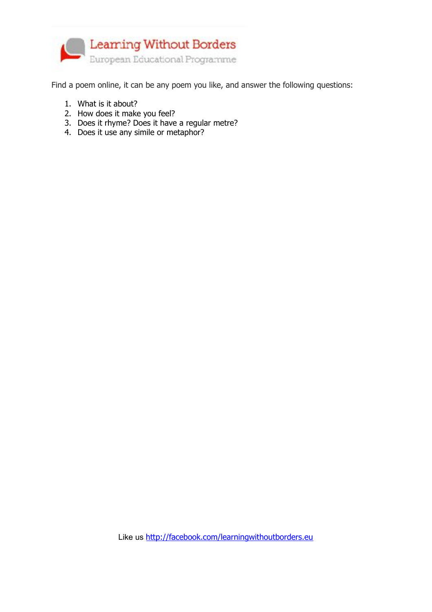

Find a poem online, it can be any poem you like, and answer the following questions:

- 1. What is it about?
- 2. How does it make you feel?
- 3. Does it rhyme? Does it have a regular metre?
- 4. Does it use any simile or metaphor?